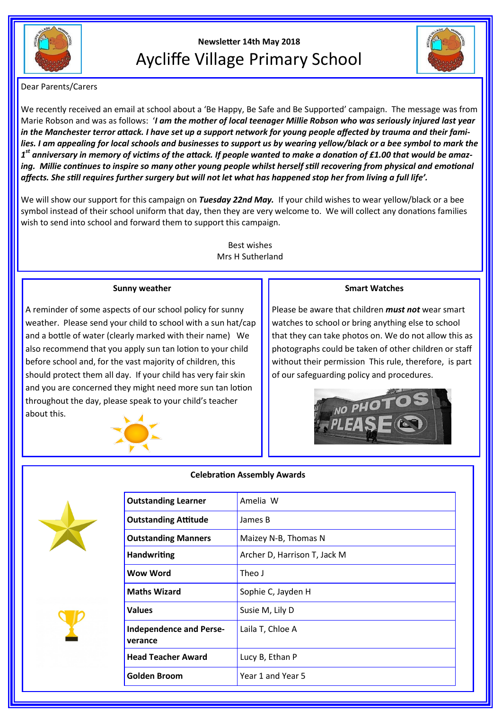

## **Newsletter 14th May 2018** Aycliffe Village Primary School



Dear Parents/Carers

We recently received an email at school about a 'Be Happy, Be Safe and Be Supported' campaign. The message was from Marie Robson and was as follows: '*I am the mother of local teenager Millie Robson who was seriously injured last year in the Manchester terror attack. I have set up a support network for young people affected by trauma and their families. I am appealing for local schools and businesses to support us by wearing yellow/black or a bee symbol to mark the 1 st anniversary in memory of victims of the attack. If people wanted to make a donation of £1.00 that would be amazing. Millie continues to inspire so many other young people whilst herself still recovering from physical and emotional affects. She still requires further surgery but will not let what has happened stop her from living a full life'.* 

We will show our support for this campaign on *Tuesday 22nd May.* If your child wishes to wear yellow/black or a bee symbol instead of their school uniform that day, then they are very welcome to. We will collect any donations families wish to send into school and forward them to support this campaign.

> Best wishes Mrs H Sutherland

## **Sunny weather**

A reminder of some aspects of our school policy for sunny weather. Please send your child to school with a sun hat/cap and a bottle of water (clearly marked with their name) We also recommend that you apply sun tan lotion to your child before school and, for the vast majority of children, this should protect them all day. If your child has very fair skin and you are concerned they might need more sun tan lotion throughout the day, please speak to your child's teacher about this.



#### **Smart Watches**

Please be aware that children *must not* wear smart watches to school or bring anything else to school that they can take photos on. We do not allow this as photographs could be taken of other children or staff without their permission This rule, therefore, is part of our safeguarding policy and procedures.







# **Outstanding Learner** Amelia W **Outstanding Attitude** James B **Outstanding Manners** Maizey N-B, Thomas N **Handwriting Archer D, Harrison T, Jack M Wow Word** Theo J **Maths Wizard** Sophie C, Jayden H **Values Susie M, Lily D Independence and Perseverance** Laila T, Chloe A **Head Teacher Award Lucy B, Ethan P Golden Broom** Year 1 and Year 5

### **Celebration Assembly Awards**